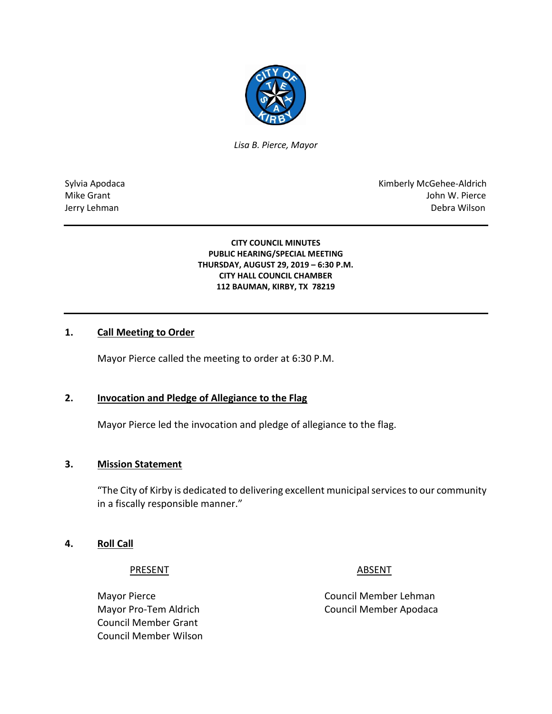

*Lisa B. Pierce, Mayor* 

Sylvia Apodaca **Kimberly McGehee-Aldrich** Mike Grant John W. Pierce Jerry Lehman Debra Wilson

> **CITY COUNCIL MINUTES PUBLIC HEARING/SPECIAL MEETING THURSDAY, AUGUST 29, 2019 – 6:30 P.M. CITY HALL COUNCIL CHAMBER 112 BAUMAN, KIRBY, TX 78219**

## **1. Call Meeting to Order**

Mayor Pierce called the meeting to order at 6:30 P.M.

## **2. Invocation and Pledge of Allegiance to the Flag**

Mayor Pierce led the invocation and pledge of allegiance to the flag.

## **3. Mission Statement**

"The City of Kirby is dedicated to delivering excellent municipal services to our community in a fiscally responsible manner."

## **4. Roll Call**

## PRESENT ABSENT

Council Member Grant Council Member Wilson

Mayor Pierce **Council Member Lehman** Mayor Pro-Tem Aldrich Council Member Apodaca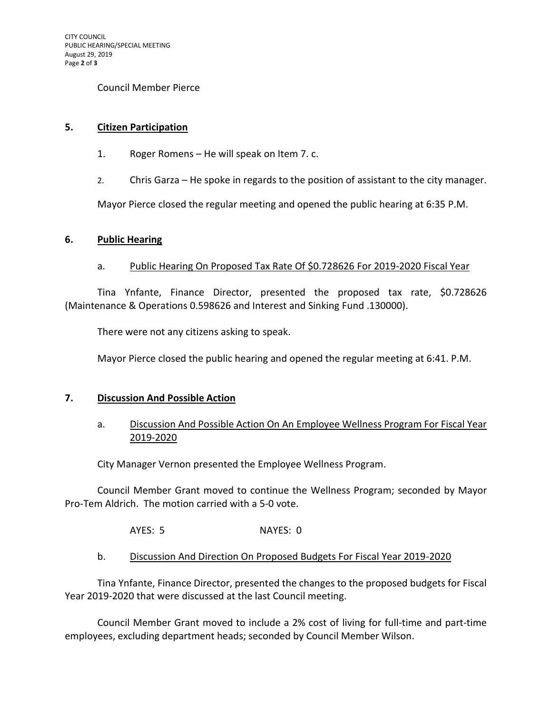## Council Member Pierce

## **5. Citizen Participation**

- 1. Roger Romens He will speak on Item 7. c.
- 2. Chris Garza He spoke in regards to the position of assistant to the city manager.

Mayor Pierce closed the regular meeting and opened the public hearing at 6:35 P.M.

## **6. Public Hearing**

## a. Public Hearing On Proposed Tax Rate Of \$0.728626 For 2019-2020 Fiscal Year

Tina Ynfante, Finance Director, presented the proposed tax rate, \$0.728626 (Maintenance & Operations 0.598626 and Interest and Sinking Fund .130000).

There were not any citizens asking to speak.

Mayor Pierce closed the public hearing and opened the regular meeting at 6:41. P.M.

## **7. Discussion And Possible Action**

# a. Discussion And Possible Action On An Employee Wellness Program For Fiscal Year 2019-2020

City Manager Vernon presented the Employee Wellness Program.

Council Member Grant moved to continue the Wellness Program; seconded by Mayor Pro-Tem Aldrich. The motion carried with a 5-0 vote.

AYES: 5 NAYES: 0

b. Discussion And Direction On Proposed Budgets For Fiscal Year 2019-2020

Tina Ynfante, Finance Director, presented the changes to the proposed budgets for Fiscal Year 2019-2020 that were discussed at the last Council meeting.

Council Member Grant moved to include a 2% cost of living for full-time and part-time employees, excluding department heads; seconded by Council Member Wilson.